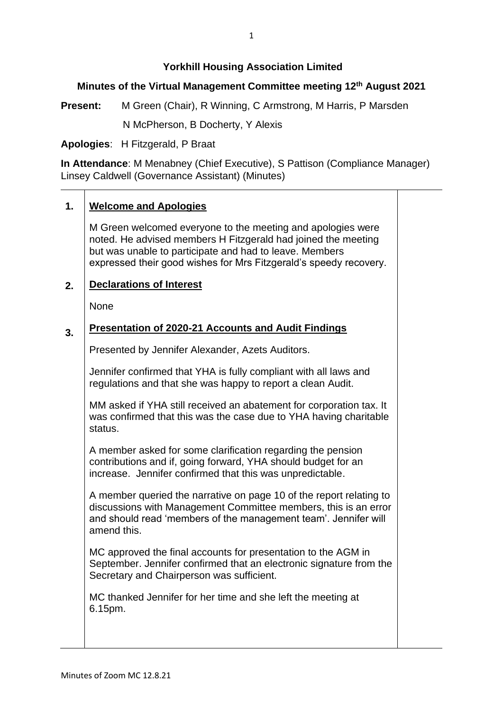# **Yorkhill Housing Association Limited**

# **Minutes of the Virtual Management Committee meeting 12th August 2021**

**Present:** M Green (Chair), R Winning, C Armstrong, M Harris, P Marsden N McPherson, B Docherty, Y Alexis

**Apologies**: H Fitzgerald, P Braat

**In Attendance**: M Menabney (Chief Executive), S Pattison (Compliance Manager) Linsey Caldwell (Governance Assistant) (Minutes)

## **1. Welcome and Apologies**

M Green welcomed everyone to the meeting and apologies were noted. He advised members H Fitzgerald had joined the meeting but was unable to participate and had to leave. Members expressed their good wishes for Mrs Fitzgerald's speedy recovery.

#### **2. Declarations of Interest**

None

## **3. Presentation of 2020-21 Accounts and Audit Findings**

Presented by Jennifer Alexander, Azets Auditors.

Jennifer confirmed that YHA is fully compliant with all laws and regulations and that she was happy to report a clean Audit.

MM asked if YHA still received an abatement for corporation tax. It was confirmed that this was the case due to YHA having charitable status.

A member asked for some clarification regarding the pension contributions and if, going forward, YHA should budget for an increase. Jennifer confirmed that this was unpredictable.

A member queried the narrative on page 10 of the report relating to discussions with Management Committee members, this is an error and should read 'members of the management team'. Jennifer will amend this.

MC approved the final accounts for presentation to the AGM in September. Jennifer confirmed that an electronic signature from the Secretary and Chairperson was sufficient.

MC thanked Jennifer for her time and she left the meeting at 6.15pm.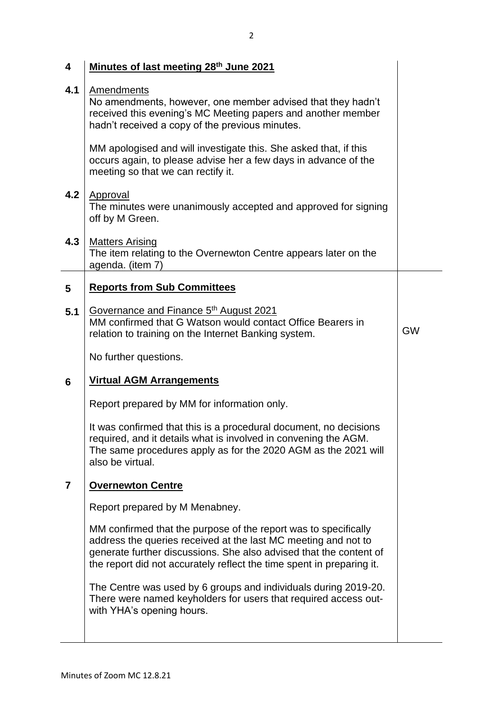| 4   | Minutes of last meeting 28th June 2021                                                                                                                                                                                                                                           |           |
|-----|----------------------------------------------------------------------------------------------------------------------------------------------------------------------------------------------------------------------------------------------------------------------------------|-----------|
| 4.1 | <b>Amendments</b><br>No amendments, however, one member advised that they hadn't<br>received this evening's MC Meeting papers and another member<br>hadn't received a copy of the previous minutes.                                                                              |           |
|     | MM apologised and will investigate this. She asked that, if this<br>occurs again, to please advise her a few days in advance of the<br>meeting so that we can rectify it.                                                                                                        |           |
| 4.2 | Approval<br>The minutes were unanimously accepted and approved for signing<br>off by M Green.                                                                                                                                                                                    |           |
| 4.3 | <b>Matters Arising</b><br>The item relating to the Overnewton Centre appears later on the<br>agenda. (item 7)                                                                                                                                                                    |           |
| 5   | <b>Reports from Sub Committees</b>                                                                                                                                                                                                                                               |           |
| 5.1 | Governance and Finance 5th August 2021<br>MM confirmed that G Watson would contact Office Bearers in<br>relation to training on the Internet Banking system.                                                                                                                     | <b>GW</b> |
|     | No further questions.                                                                                                                                                                                                                                                            |           |
| 6   | <b>Virtual AGM Arrangements</b>                                                                                                                                                                                                                                                  |           |
|     | Report prepared by MM for information only.                                                                                                                                                                                                                                      |           |
|     | It was confirmed that this is a procedural document, no decisions<br>required, and it details what is involved in convening the AGM.<br>The same procedures apply as for the 2020 AGM as the 2021 will<br>also be virtual.                                                       |           |
| 7   | <b>Overnewton Centre</b>                                                                                                                                                                                                                                                         |           |
|     | Report prepared by M Menabney.                                                                                                                                                                                                                                                   |           |
|     | MM confirmed that the purpose of the report was to specifically<br>address the queries received at the last MC meeting and not to<br>generate further discussions. She also advised that the content of<br>the report did not accurately reflect the time spent in preparing it. |           |
|     | The Centre was used by 6 groups and individuals during 2019-20.<br>There were named keyholders for users that required access out-<br>with YHA's opening hours.                                                                                                                  |           |
|     |                                                                                                                                                                                                                                                                                  |           |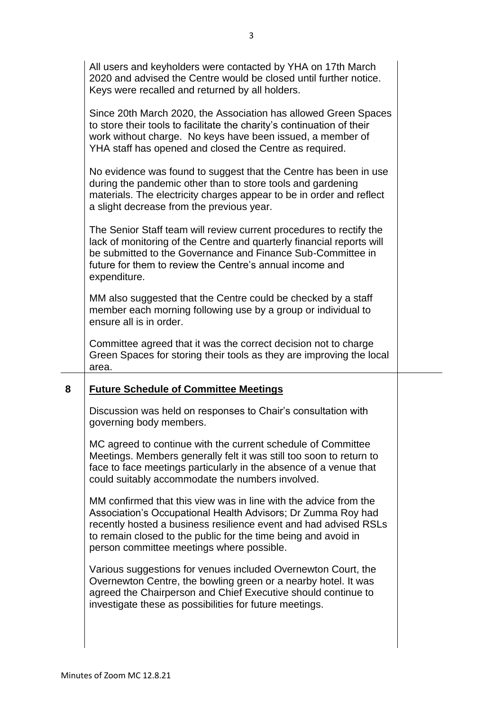|   | All users and keyholders were contacted by YHA on 17th March<br>2020 and advised the Centre would be closed until further notice.<br>Keys were recalled and returned by all holders.                                                                                                    |  |
|---|-----------------------------------------------------------------------------------------------------------------------------------------------------------------------------------------------------------------------------------------------------------------------------------------|--|
|   | Since 20th March 2020, the Association has allowed Green Spaces<br>to store their tools to facilitate the charity's continuation of their<br>work without charge. No keys have been issued, a member of<br>YHA staff has opened and closed the Centre as required.                      |  |
|   | No evidence was found to suggest that the Centre has been in use<br>during the pandemic other than to store tools and gardening<br>materials. The electricity charges appear to be in order and reflect<br>a slight decrease from the previous year.                                    |  |
|   | The Senior Staff team will review current procedures to rectify the<br>lack of monitoring of the Centre and quarterly financial reports will<br>be submitted to the Governance and Finance Sub-Committee in<br>future for them to review the Centre's annual income and<br>expenditure. |  |
|   | MM also suggested that the Centre could be checked by a staff<br>member each morning following use by a group or individual to<br>ensure all is in order.                                                                                                                               |  |
|   | Committee agreed that it was the correct decision not to charge<br>Green Spaces for storing their tools as they are improving the local<br>area.                                                                                                                                        |  |
| 8 | <b>Future Schedule of Committee Meetings</b>                                                                                                                                                                                                                                            |  |
|   | Discussion was held on responses to Chair's consultation with<br>governing body members.                                                                                                                                                                                                |  |
|   | MC agreed to continue with the current schedule of Committee<br>Meetings. Members generally felt it was still too soon to return to<br>face to face meetings particularly in the absence of a venue that<br>could suitably accommodate the numbers involved.                            |  |
|   | MM confirmed that this view was in line with the advice from the<br>Association's Occupational Health Advisors; Dr Zumma Roy had<br>recently hosted a business resilience event and had advised RSLs<br>to remain closed to the public for the time being and avoid in                  |  |
|   | person committee meetings where possible.                                                                                                                                                                                                                                               |  |
|   | Various suggestions for venues included Overnewton Court, the<br>Overnewton Centre, the bowling green or a nearby hotel. It was<br>agreed the Chairperson and Chief Executive should continue to<br>investigate these as possibilities for future meetings.                             |  |

 $\overline{\phantom{a}}$ 

 $\overline{\phantom{0}}$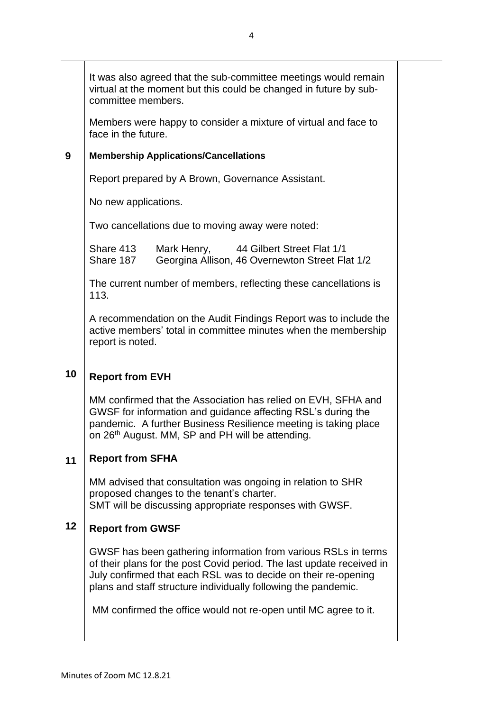It was also agreed that the sub-committee meetings would remain virtual at the moment but this could be changed in future by subcommittee members.

Members were happy to consider a mixture of virtual and face to face in the future.

#### **9 Membership Applications/Cancellations**

Report prepared by A Brown, Governance Assistant.

No new applications.

Two cancellations due to moving away were noted:

| Share 413 | Mark Henry, | 44 Gilbert Street Flat 1/1                      |
|-----------|-------------|-------------------------------------------------|
| Share 187 |             | Georgina Allison, 46 Overnewton Street Flat 1/2 |

The current number of members, reflecting these cancellations is 113.

A recommendation on the Audit Findings Report was to include the active members' total in committee minutes when the membership report is noted.

## **10 Report from EVH**

MM confirmed that the Association has relied on EVH, SFHA and GWSF for information and guidance affecting RSL's during the pandemic. A further Business Resilience meeting is taking place on 26<sup>th</sup> August. MM, SP and PH will be attending.

#### **11 Report from SFHA**

MM advised that consultation was ongoing in relation to SHR proposed changes to the tenant's charter. SMT will be discussing appropriate responses with GWSF.

### **12 Report from GWSF**

GWSF has been gathering information from various RSLs in terms of their plans for the post Covid period. The last update received in July confirmed that each RSL was to decide on their re-opening plans and staff structure individually following the pandemic.

MM confirmed the office would not re-open until MC agree to it.